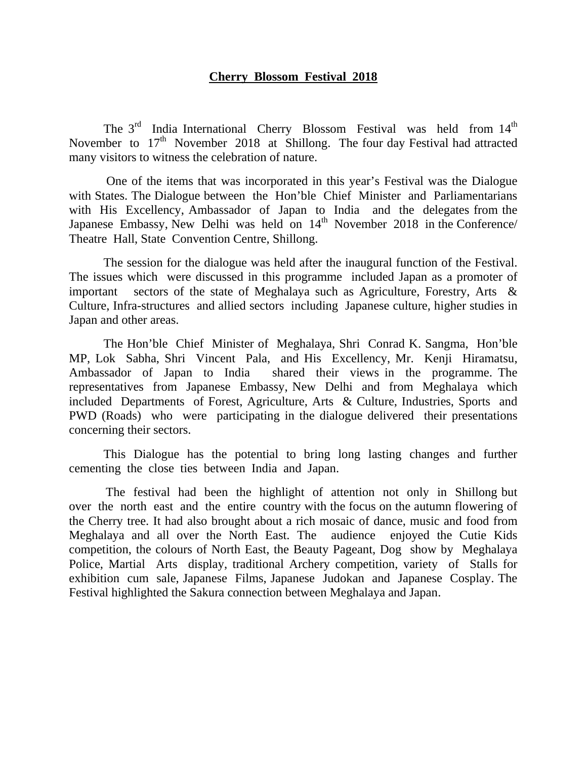## **Cherry Blossom Festival 2018**

The  $3<sup>rd</sup>$  India International Cherry Blossom Festival was held from  $14<sup>th</sup>$ November to  $17<sup>th</sup>$  November 2018 at Shillong. The four day Festival had attracted many visitors to witness the celebration of nature.

 One of the items that was incorporated in this year's Festival was the Dialogue with States. The Dialogue between the Hon'ble Chief Minister and Parliamentarians with His Excellency, Ambassador of Japan to India and the delegates from the Japanese Embassy, New Delhi was held on  $14<sup>th</sup>$  November 2018 in the Conference/ Theatre Hall, State Convention Centre, Shillong.

The session for the dialogue was held after the inaugural function of the Festival. The issues which were discussed in this programme included Japan as a promoter of important sectors of the state of Meghalaya such as Agriculture, Forestry, Arts & Culture, Infra-structures and allied sectors including Japanese culture, higher studies in Japan and other areas.

 The Hon'ble Chief Minister of Meghalaya, Shri Conrad K. Sangma, Hon'ble MP, Lok Sabha, Shri Vincent Pala, and His Excellency, Mr. Kenji Hiramatsu, Ambassador of Japan to India shared their views in the programme. The representatives from Japanese Embassy, New Delhi and from Meghalaya which included Departments of Forest, Agriculture, Arts & Culture, Industries, Sports and PWD (Roads) who were participating in the dialogue delivered their presentations concerning their sectors.

 This Dialogue has the potential to bring long lasting changes and further cementing the close ties between India and Japan.

 The festival had been the highlight of attention not only in Shillong but over the north east and the entire country with the focus on the autumn flowering of the Cherry tree. It had also brought about a rich mosaic of dance, music and food from Meghalaya and all over the North East. The audience enjoyed the Cutie Kids competition, the colours of North East, the Beauty Pageant, Dog show by Meghalaya Police, Martial Arts display, traditional Archery competition, variety of Stalls for exhibition cum sale, Japanese Films, Japanese Judokan and Japanese Cosplay. The Festival highlighted the Sakura connection between Meghalaya and Japan.